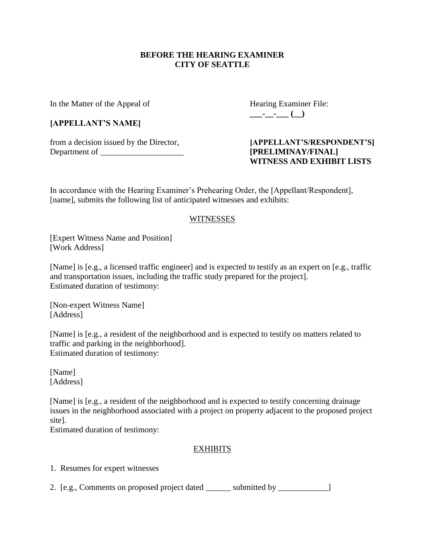#### **BEFORE THE HEARING EXAMINER CITY OF SEATTLE**

In the Matter of the Appeal of Hearing Examiner File:

### **[APPELLANT'S NAME]**

from a decision issued by the Director, **[APPELLANT'S/RESPONDENT'S]** Department of \_\_\_\_\_\_\_\_\_\_\_\_\_\_\_\_\_\_\_\_ **[PRELIMINAY/FINAL]**

**\_\_\_-\_\_-\_\_\_ (\_\_)**

# **WITNESS AND EXHIBIT LISTS**

In accordance with the Hearing Examiner's Prehearing Order, the [Appellant/Respondent], [name], submits the following list of anticipated witnesses and exhibits:

### WITNESSES

[Expert Witness Name and Position] [Work Address]

[Name] is [e.g., a licensed traffic engineer] and is expected to testify as an expert on [e.g., traffic and transportation issues, including the traffic study prepared for the project]. Estimated duration of testimony:

[Non-expert Witness Name] [Address]

[Name] is [e.g., a resident of the neighborhood and is expected to testify on matters related to traffic and parking in the neighborhood]. Estimated duration of testimony:

[Name] [Address]

[Name] is [e.g., a resident of the neighborhood and is expected to testify concerning drainage issues in the neighborhood associated with a project on property adjacent to the proposed project site].

Estimated duration of testimony:

## EXHIBITS

1. Resumes for expert witnesses

2. [e.g., Comments on proposed project dated \_\_\_\_\_\_\_ submitted by \_\_\_\_\_\_\_\_\_\_\_\_\_]